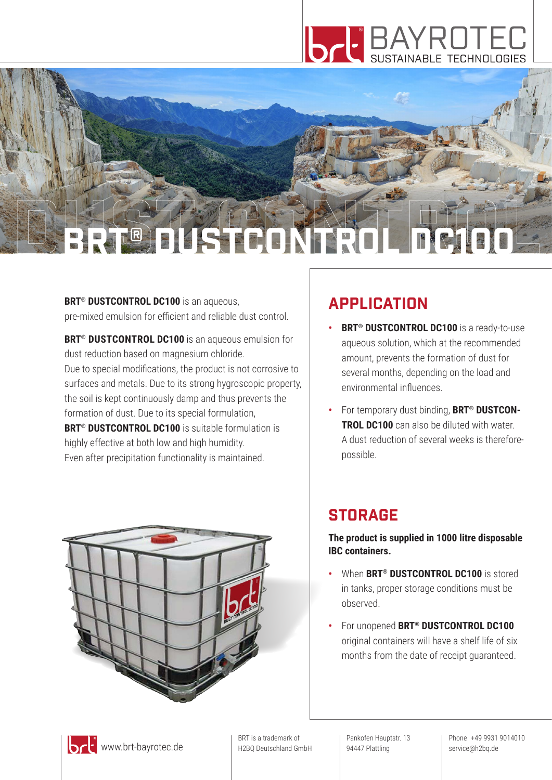

# **DUST CONTROL BRT® DUSTED NEROL DC100**

**BRT<sup>®</sup> DUSTCONTROL DC100** is an aqueous, pre-mixed emulsion for efficient and reliable dust control.

**BRT® DUSTCONTROL DC100** is an aqueous emulsion for dust reduction based on magnesium chloride. Due to special modifications, the product is not corrosive to surfaces and metals. Due to its strong hygroscopic property, the soil is kept continuously damp and thus prevents the formation of dust. Due to its special formulation, **BRT<sup>®</sup> DUSTCONTROL DC100** is suitable formulation is highly effective at both low and high humidity. Even after precipitation functionality is maintained.



## **APPLICATION**

- **BRT<sup>®</sup> DUSTCONTROL DC100** is a ready-to-use aqueous solution, which at the recommended amount, prevents the formation of dust for several months, depending on the load and environmental influences.
- **•** For temporary dust binding, **BRT® DUSTCON-TROL DC100** can also be diluted with water. A dust reduction of several weeks is thereforepossible.

## **STORAGE**

**The product is supplied in 1000 litre disposable IBC containers.**

- **•** When **BRT® DUSTCONTROL DC100** is stored in tanks, proper storage conditions must be observed.
- **•** For unopened **BRT® DUSTCONTROL DC100** original containers will have a shelf life of six months from the date of receipt guaranteed.